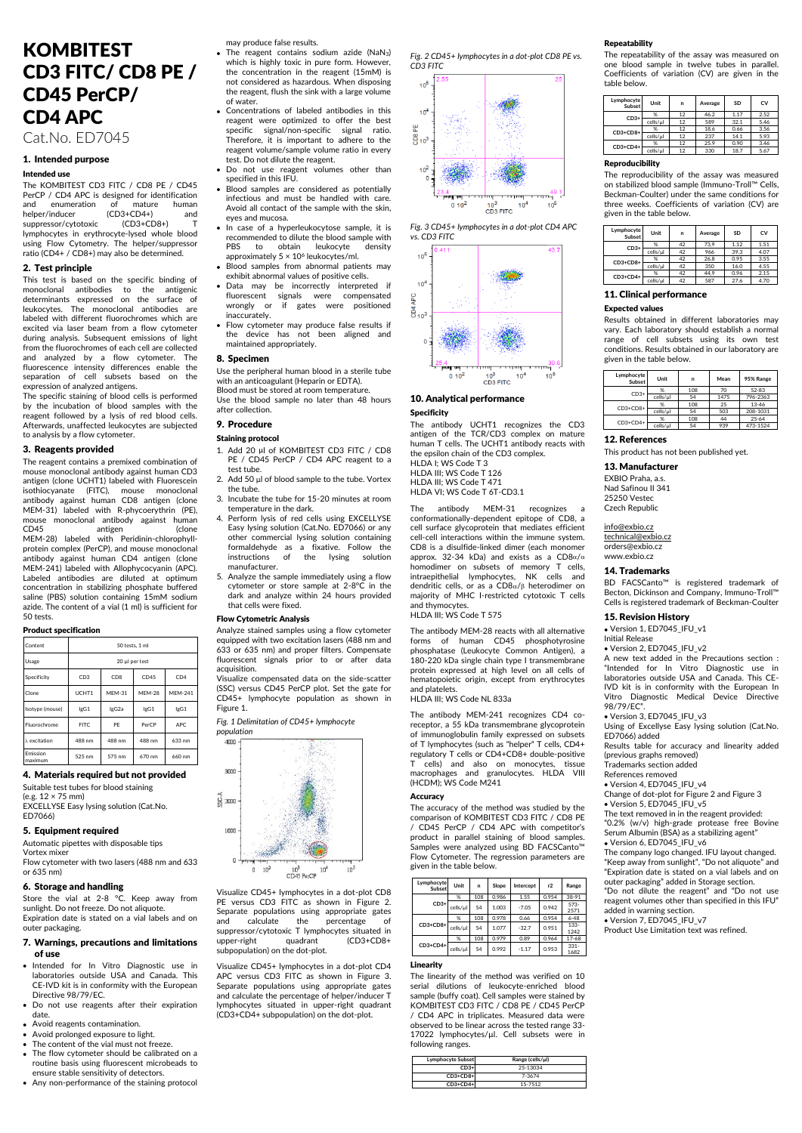## KOMBITEST CD3 FITC/ CD8 PE / CD45 PerCP/ CD4 APC

Cat.No. ED7045

## 1. Intended purpose

## Intended use

The KOMBITEST CD3 FITC / CD8 PE / CD45 PerCP / CD4 APC is designed for identification and enumeration of mature human<br>helper/inducer (CD3+CD4+) and helper/inducer (CD3+CD4+) and suppressor/cytotoxic (CD3+CD8+) lymphocytes in erythrocyte-lysed whole blood using Flow Cytometry. The helper/suppressor ratio (CD4+ / CD8+) may also be determined.

## 2. Test principle

This test is based on the specific binding of monoclonal antibodies to the antigenic determinants expressed on the surface of leukocytes. The monoclonal antibodies are labeled with different fluorochromes which are excited via laser beam from a flow cytometer during analysis. Subsequent emissions of light from the fluorochromes of each cell are collected and analyzed by a flow cytometer. The fluorescence intensity differences enable the separation of cell subsets based on the expression of analyzed antigens.

The specific staining of blood cells is performed by the incubation of blood samples with the reagent followed by a lysis of red blood cells. Afterwards, unaffected leukocytes are subjected to analysis by a flow cytometer.

## 3. Reagents provided

The reagent contains a premixed combination of mouse monoclonal antibody against human CD3 antigen (clone UCHT1) labeled with Fluorescein isothiocyanate (FITC), mouse monoclonal antibody against human CD8 antigen (clone MEM-31) labeled with R-phycoerythrin (PE), mouse monoclonal antibody against human CD45 antigen (clone MEM-28) labeled with Peridinin-chlorophyllprotein complex (PerCP), and mouse monoclonal antibody against human CD4 antigen (clone MEM-241) labeled with Allophycocyanin (APC). Labeled antibodies are diluted at optimum concentration in stabilizing phosphate buffered saline (PBS) solution containing 15mM sodium azide. The content of a vial (1 ml) is sufficient for 50 tests.

#### Product specification

| Content              | 50 tests, 1 ml  |                 |               |                 |  |  |
|----------------------|-----------------|-----------------|---------------|-----------------|--|--|
| Usage                |                 | 20 μl per test  |               |                 |  |  |
| Specificity          | CD <sub>3</sub> | CD <sub>8</sub> | CD45          | CD <sub>4</sub> |  |  |
| Clone                | UCHT1           | <b>MFM-31</b>   | <b>MFM-28</b> | <b>MEM-241</b>  |  |  |
| Isotype (mouse)      | lgG1            | lgG2a           | lgG1          | lgG1            |  |  |
| Eluorochrome         | FITC.           | PF              | PerCP         | APC.            |  |  |
| $\lambda$ excitation | 488 nm          | 488 nm          | 488 nm        | 633 nm          |  |  |
| Emission<br>maximum  | 525 nm          | 575 nm          | 670 nm        | 660 nm          |  |  |

4. Materials required but not provided

Suitable test tubes for blood staining

(e.g. 12 × 75 mm) EXCELLYSE Easy lysing solution (Cat.No.

ED7066)

## 5. Equipment required

Automatic pipettes with disposable tips

Vortex mixe Flow cytometer with two lasers (488 nm and 633 or 635 nm)

## 6. Storage and handling

Store the vial at 2-8 °C. Keep away from sunlight. Do not freeze. Do not aliquote. Expiration date is stated on a vial labels and on outer packaging.

## 7. Warnings, precautions and limitations of use

- Intended for In Vitro Diagnostic use in laboratories outside USA and Canada. This CE-IVD kit is in conformity with the European Directive 98/79/EC.
- Do not use reagents after their expiration date.
- Avoid reagents contamination.
- Avoid prolonged exposure to light. The content of the vial must not freeze.
- The flow cytometer should be calibrated on a routine basis using fluorescent microbeads to ensure stable sensitivity of detectors.
- Any non-performance of the staining protocol

- may produce false results. The reagent contains sodium azide (NaN3) which is highly toxic in pure form. However, the concentration in the reagent (15mM) is not considered as hazardous. When disposing the reagent, flush the sink with a large volume of water.
- Concentrations of labeled antibodies in this reagent were optimized to offer the best specific signal/non-specific signal ratio. Therefore, it is important to adhere to the reagent volume/sample volume ratio in every test. Do not dilute the reagent.
- Do not use reagent volumes other than specified in this IFU.
- Blood samples are considered as potentially infectious and must be handled with care. Avoid all contact of the sample with the skin, eyes and mucosa.
- In case of a hyperleukocytose sample, it is recommended to dilute the blood sample with PRS to obtain leukocyte density approximately 5 × 10<sup>6</sup> leukocytes/ml.
- Blood samples from abnormal patients may exhibit abnormal values of positive cells.
- Data may be incorrectly interpreted if fluorescent signals were compensated wrongly or if gates were positioned inaccurately.
- Flow cytometer may produce false results if the device has not been aligned and maintained appropriately.

## 8. Specimen

Use the peripheral human blood in a sterile tube with an anticoagulant (Heparin or EDTA). Blood must be stored at room temperature.

Use the blood sample no later than 48 hours after collection.

#### 9. Procedure

#### Staining protocol

- 1. Add 20 µl of KOMBITEST CD3 FITC / CD8 PE / CD45 PerCP / CD4 APC reagent to a test tube.
- 2. Add 50 µl of blood sample to the tube. Vortex the tube.
- 3. Incubate the tube for 15-20 minutes at room temperature in the dark.
- 4. Perform lysis of red cells using EXCELLYSE Easy lysing solution (Cat.No. ED7066) or any other commercial lysing solution containing formaldehyde as a fixative. Follow the instructions of the lysing solution manufacturer.
- 5. Analyze the sample immediately using a flow cytometer or store sample at  $2-8^{\circ}C$  in the dark and analyze within 24 hours provided that cells were fixed.

#### Flow Cytometric Analysis

Analyze stained samples using a flow cytometer equipped with two excitation lasers (488 nm and 633 or 635 nm) and proper filters. Compensate fluorescent signals prior to or after data acquisition.

Visualize compensated data on the side-scatter (SSC) versus CD45 PerCP plot. Set the gate for CD45+ lymphocyte population as shown in Figure 1.

#### *Fig. 1 Delimitation of CD45+ lymphocyte*



Visualize CD45+ lymphocytes in a dot-plot CD8 PE versus CD3 FITC as shown in Figure 2. Separate populations using appropriate gates and calculate the percentage of suppressor/cytotoxic T lymphocytes situated in<br>upper-right quadrant (CD3+CD8+ s sheated in subpopulation) on the dot-plot.

Visualize CD45+ lymphocytes in a dot-plot CD4 APC versus CD3 FITC as shown in Figure 3. Separate populations using appropriate gates and calculate the percentage of helper/inducer T lymphocytes situated in upper-right quadrant (CD3+CD4+ subpopulation) on the dot-plot.

*Fig. 2 CD45+ lymphocytes in a dot-plot CD8 PE vs. CD3 FITC*



*Fig. 3 CD45+ lymphocytes in a dot-plot CD4 APC* 



## 10. Analytical performance

## Specificity

The antibody UCHT1 recognizes the CD3 antigen of the TCR/CD3 complex on mature human T cells. The UCHT1 antibody reacts with the epsilon chain of the CD3 complex. HLDA I: WS Code T 3

HLDA III; WS Code T 126 HLDA III; WS Code T 471

HLDA VI; WS Code T 6T-CD3.1

The antibody MEM-31 recognizes conformationally-dependent epitope of CD8, a cell surface glycoprotein that mediates efficient cell-cell interactions within the immune system. CD8 is a disulfide-linked dimer (each monomer approx. 32-34 kDa) and exists as a CD8 $a/a$ homodimer on subsets of memory T cells, intraepithelial lymphocytes, NK cells and dendritic cells, or as a  $CD8\alpha/\beta$  heterodimer on majority of MHC I-restricted cytotoxic T cells and thymocytes.

HLDA III; WS Code T 575

The antibody MEM-28 reacts with all alternative forms of human CD45 phosphotyrosine phosphatase (Leukocyte Common Antigen), a 180-220 kDa single chain type I transmembrane protein expressed at high level on all cells of hematopoietic origin, except from erythrocytes and platelets.

HLDA III; WS Code NL 833a

The antibody MEM-241 recognizes CD4 coreceptor, a 55 kDa transmembrane glycoprotein of immunoglobulin family expressed on subsets of T lymphocytes (such as "helper" T cells, CD4+ regulatory T cells or CD4+CD8+ double-positive T cells) and also on monocytes, tissue macrophages and granulocytes. HLDA VIII (HCDM); WS Code M241

#### **Accuracy**

The accuracy of the method was studied by the comparison of KOMBITEST CD3 FITC / CD8 PE / CD45 PerCP / CD4 APC with competitor's product in parallel staining of blood samples. Samples were analyzed using BD FACSCanto™ Flow Cytometer. The regression parameters are given in the table below.

|  | Lymphocyte<br>Subset | Unit     | n   | Slope | Intercept | r2    | Range           |
|--|----------------------|----------|-----|-------|-----------|-------|-----------------|
|  | $CD3+$               | %        | 108 | 0.986 | 1.55      | 0.954 | 38-91           |
|  |                      | cells/ul | 54  | 1.003 | $-7.05$   | 0.942 | 573-<br>2571    |
|  | CD3+CD8+             | %        | 108 | 0.978 | 0.66      | 0.954 | $6 - 48$        |
|  |                      | cells/ul | 54  | 1.077 | $-32.7$   | 0.951 | $133 -$<br>1242 |
|  | $CD3+CD4+$           | %        | 108 | 0.979 | 0.89      | 0.964 | $17 - 68$       |
|  |                      | cells/ul | 54  | 0.992 | $-1.17$   | 0.953 | $331 -$<br>1682 |

#### Linearity

The linearity of the method was verified on 10 serial dilutions of leukocyte-enriched blood sample (buffy coat). Cell samples were stained by KOMBITEST CD3 FITC / CD8 PE / CD45 PerCP / CD4 APC in triplicates. Measured data were observed to be linear across the tested range 33- 17022 lymphocytes/µl. Cell subsets were in following ranges.

| <b>Lymphocyte Subset</b> | Range (cells/µl) |
|--------------------------|------------------|
| $CD3+$                   | 25-13034         |
| $CD3+CD8+$               | 7-3674           |
| $CD3+CD4+$               | 15-7512          |

#### Repeatability

The repeatability of the assay was measured on one blood sample in twelve tubes in parallel. Coefficients of variation (CV) are given in the table below.

| Lymphocyte<br>Subset | Unit     | n  | Average | <b>SD</b> | CV   |
|----------------------|----------|----|---------|-----------|------|
| $CD3+$               | %        | 12 | 46.2    | 1.17      | 2.52 |
|                      | cells/µl | 12 | 589     | 32.1      | 5.46 |
| $CD3+CD8+$           | %        | 12 | 18.6    | 0.66      | 3.56 |
|                      | cells/µl | 12 | 237     | 14.1      | 5.93 |
| $CD3+CD4+$           | %        | 12 | 25.9    | 0.90      | 3.46 |
|                      | cells/ul | 12 | 330     | 18.7      | 5.67 |

## Reproducibility

The reproducibility of the assay was measured on stabilized blood sample (Immuno-Troll™ Cells, Beckman-Coulter) under the same conditions for three weeks. Coefficients of variation (CV) are given in the table below.

| Lymphocyte<br>Subset | Unit     | n  | Average | SD   | CV   |
|----------------------|----------|----|---------|------|------|
| $CD3+$               | %        | 42 | 73.9    | 1.12 | 1.51 |
|                      | cells/µ  | 42 | 966     | 39.3 | 4.07 |
| $CD3+CD8+$           | %        | 42 | 26.8    | 0.95 | 3.55 |
|                      | cells/ul | 42 | 350     | 16.0 | 4.55 |
| $CD3+CD4+$           | %        | 42 | 44.9    | 0.96 | 2.15 |
|                      | cells/µ  | 42 | 587     | 27.6 | 4.70 |

#### 11. Clinical performance

#### Expected values

Results obtained in different laboratories may vary. Each laboratory should establish a normal range of cell subsets using its own test conditions. Results obtained in our laboratory are given in the table below.

| Lymphocyte<br>Subset | Unit     | n   | Mean | 95% Range |
|----------------------|----------|-----|------|-----------|
| $CD3+$               | %        | 108 | 70   | 52-83     |
|                      | cells/µ  | 54  | 1475 | 796-2363  |
| $CD3+CD8+$           | %        | 108 | 25   | $13 - 46$ |
|                      | cells/ul | 54  | 503  | 208-1031  |
| $CD3+CD4+$           | %        | 108 | 44   | $25 - 64$ |
|                      | cells/µ  | 54  | 939  | 473-1524  |

## 12. References

This product has not been published yet.

13. Manufacturer EXBIO Praha, a.s. Nad Safinou II 341 25250 Vestec Czech Republic

[info@exbio.cz](mailto:info@exbio.cz) [technical@exbio.cz](mailto:technical@exbio.cz) orders@exbio.cz [www.exbio.cz](http://www.exbio.cz/)

#### 14. Trademarks

BD FACSCanto™ is registered trademark of Becton, Dickinson and Company, Immuno-Troll™ Cells is registered trademark of Beckman-Coulter

## 15. Revision History

• Version 1, ED7045\_IFU\_v1

Initial Release

• Version 2, ED7045\_IFU\_v2 A new text added in the Precautions section : "Intended for In Vitro Diagnostic use in laboratories outside USA and Canada. This CE-IVD kit is in conformity with the European In Vitro Diagnostic Medical Device Directive 98/79/EC".

• Version 3, ED7045\_IFU\_v3 Using of Excellyse Easy lysing solution (Cat.No.

ED7066) added Results table for accuracy and linearity added

(previous graphs removed) Trademarks section added

References removed

• Version 4, ED7045\_IFU\_v4

added in warning section. • Version 7, ED7045, IEU\_v7 Product Use Limitation text was refined.

Change of dot-plot for Figure 2 and Figure 3 • Version 5, ED7045\_IFU\_v5 The text removed in in the reagent provided:

"0.2% (w/v) high-grade protease free Bovine Serum Albumin (BSA) as a stabilizing agent" • Version 6, ED7045\_IFU\_v6 The company logo changed. IFU layout changed. "Keep away from sunlight", "Do not aliquote" and "Expiration date is stated on a vial labels and on outer packaging" added in Storage section. "Do not dilute the reagent" and "Do not use reagent volumes other than specified in this IFU"